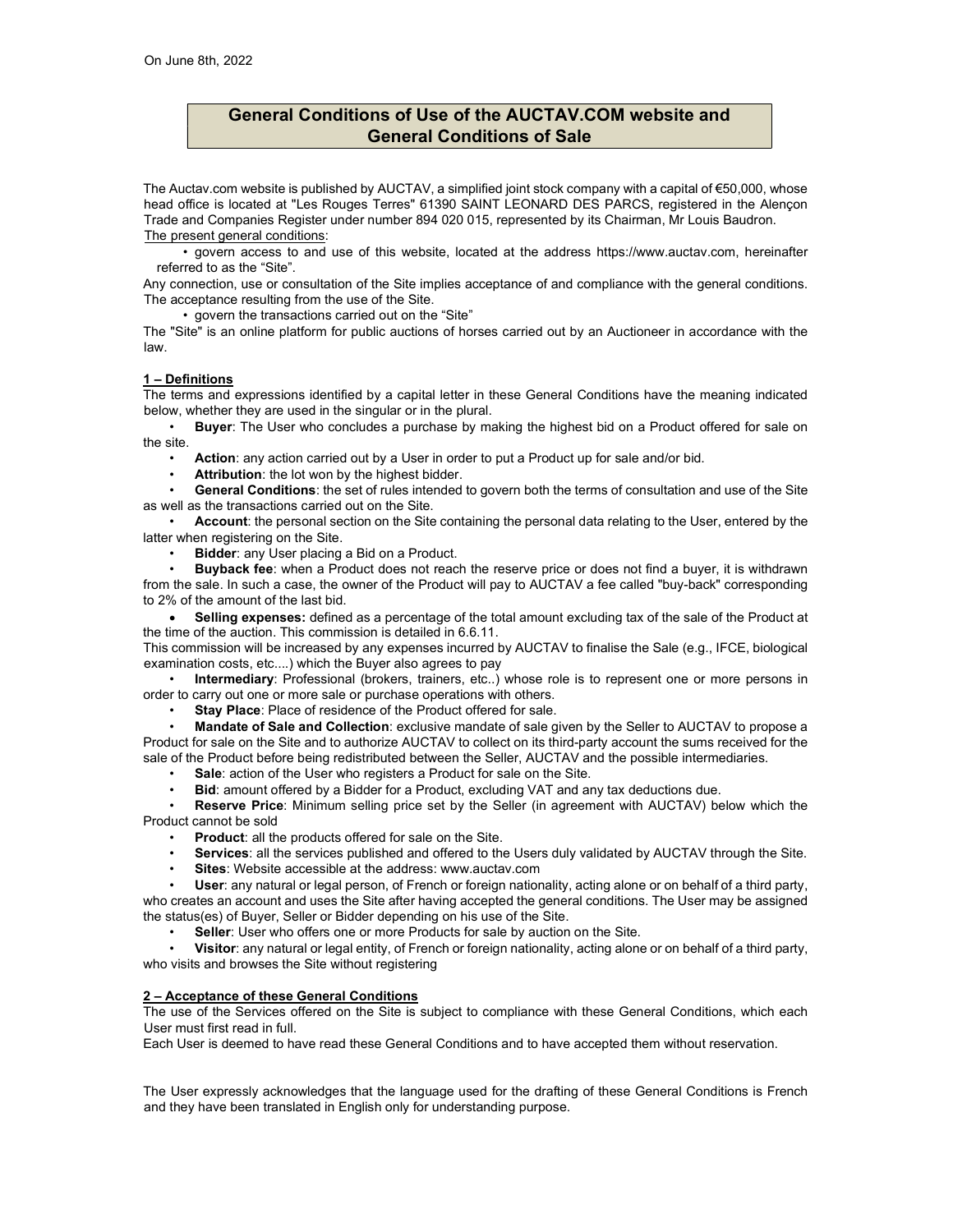# General Conditions of Use of the AUCTAV.COM website and General Conditions of Sale

The Auctav.com website is published by AUCTAV, a simplified joint stock company with a capital of €50,000, whose head office is located at "Les Rouges Terres" 61390 SAINT LEONARD DES PARCS, registered in the Alençon Trade and Companies Register under number 894 020 015, represented by its Chairman, Mr Louis Baudron. The present general conditions:

• govern access to and use of this website, located at the address https://www.auctav.com, hereinafter referred to as the "Site".

Any connection, use or consultation of the Site implies acceptance of and compliance with the general conditions. The acceptance resulting from the use of the Site.

• govern the transactions carried out on the "Site"

The "Site" is an online platform for public auctions of horses carried out by an Auctioneer in accordance with the law.

#### 1 – Definitions

The terms and expressions identified by a capital letter in these General Conditions have the meaning indicated below, whether they are used in the singular or in the plural.

**Buyer:** The User who concludes a purchase by making the highest bid on a Product offered for sale on the site.

Action: any action carried out by a User in order to put a Product up for sale and/or bid.

Attribution: the lot won by the highest bidder.

General Conditions: the set of rules intended to govern both the terms of consultation and use of the Site as well as the transactions carried out on the Site.

Account: the personal section on the Site containing the personal data relating to the User, entered by the latter when registering on the Site.

• Bidder: any User placing a Bid on a Product.

• Buyback fee: when a Product does not reach the reserve price or does not find a buyer, it is withdrawn from the sale. In such a case, the owner of the Product will pay to AUCTAV a fee called "buy-back" corresponding to 2% of the amount of the last bid.

Selling expenses: defined as a percentage of the total amount excluding tax of the sale of the Product at the time of the auction. This commission is detailed in 6.6.11.

This commission will be increased by any expenses incurred by AUCTAV to finalise the Sale (e.g., IFCE, biological examination costs, etc....) which the Buyer also agrees to pay

• Intermediary: Professional (brokers, trainers, etc..) whose role is to represent one or more persons in order to carry out one or more sale or purchase operations with others.

Stay Place: Place of residence of the Product offered for sale.

• Mandate of Sale and Collection: exclusive mandate of sale given by the Seller to AUCTAV to propose a Product for sale on the Site and to authorize AUCTAV to collect on its third-party account the sums received for the sale of the Product before being redistributed between the Seller, AUCTAV and the possible intermediaries.

- Sale: action of the User who registers a Product for sale on the Site.
- Bid: amount offered by a Bidder for a Product, excluding VAT and any tax deductions due.

Reserve Price: Minimum selling price set by the Seller (in agreement with AUCTAV) below which the Product cannot be sold

Product: all the products offered for sale on the Site.

- Services: all the services published and offered to the Users duly validated by AUCTAV through the Site.
- Sites: Website accessible at the address: www.auctav.com

• User: any natural or legal person, of French or foreign nationality, acting alone or on behalf of a third party,

who creates an account and uses the Site after having accepted the general conditions. The User may be assigned the status(es) of Buyer, Seller or Bidder depending on his use of the Site.

Seller: User who offers one or more Products for sale by auction on the Site.

• Visitor: any natural or legal entity, of French or foreign nationality, acting alone or on behalf of a third party, who visits and browses the Site without registering

#### 2 – Acceptance of these General Conditions

The use of the Services offered on the Site is subject to compliance with these General Conditions, which each User must first read in full.

Each User is deemed to have read these General Conditions and to have accepted them without reservation.

The User expressly acknowledges that the language used for the drafting of these General Conditions is French and they have been translated in English only for understanding purpose.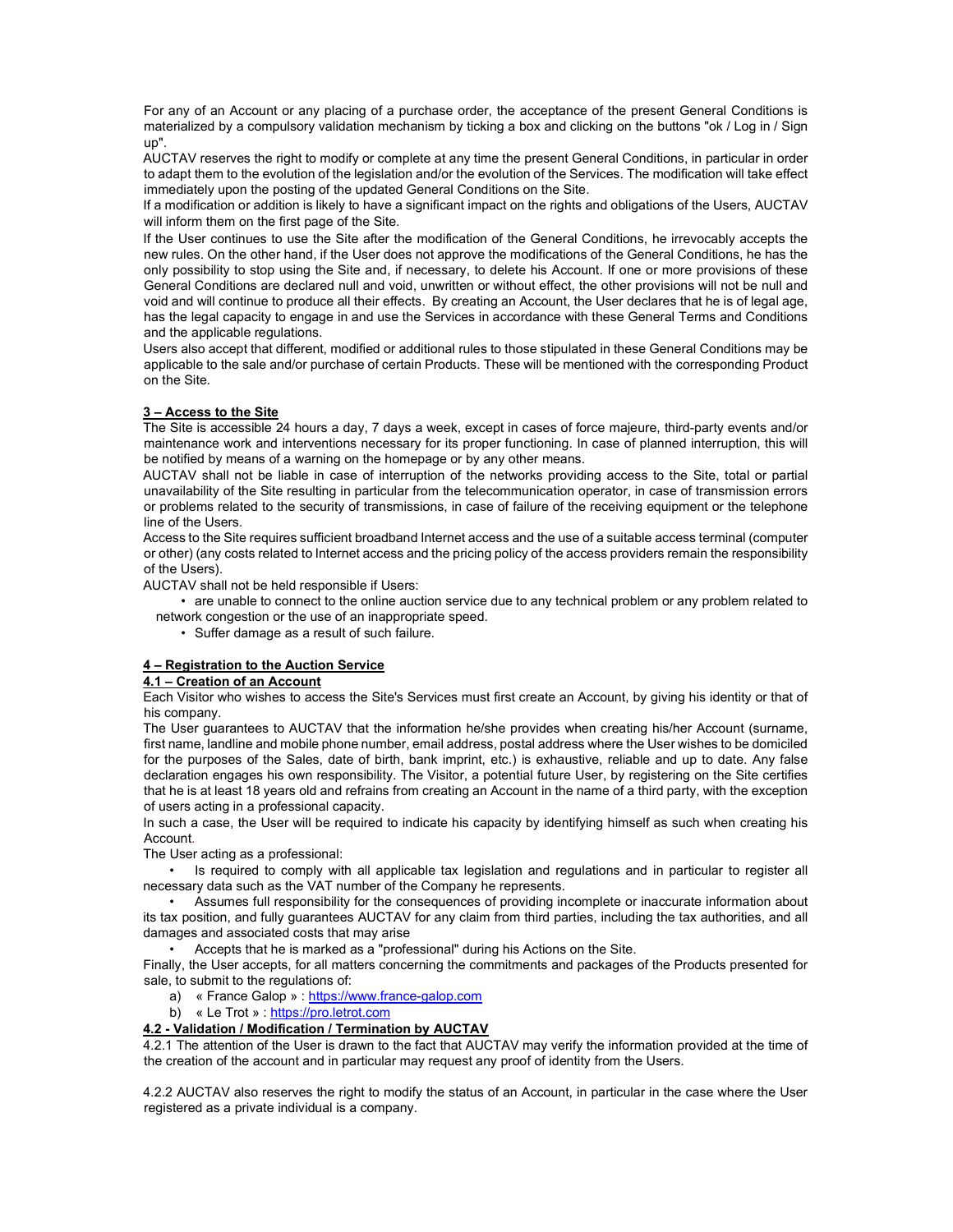For any of an Account or any placing of a purchase order, the acceptance of the present General Conditions is materialized by a compulsory validation mechanism by ticking a box and clicking on the buttons "ok / Log in / Sign up".

AUCTAV reserves the right to modify or complete at any time the present General Conditions, in particular in order to adapt them to the evolution of the legislation and/or the evolution of the Services. The modification will take effect immediately upon the posting of the updated General Conditions on the Site.

If a modification or addition is likely to have a significant impact on the rights and obligations of the Users, AUCTAV will inform them on the first page of the Site.

If the User continues to use the Site after the modification of the General Conditions, he irrevocably accepts the new rules. On the other hand, if the User does not approve the modifications of the General Conditions, he has the only possibility to stop using the Site and, if necessary, to delete his Account. If one or more provisions of these General Conditions are declared null and void, unwritten or without effect, the other provisions will not be null and void and will continue to produce all their effects. By creating an Account, the User declares that he is of legal age, has the legal capacity to engage in and use the Services in accordance with these General Terms and Conditions and the applicable regulations.

Users also accept that different, modified or additional rules to those stipulated in these General Conditions may be applicable to the sale and/or purchase of certain Products. These will be mentioned with the corresponding Product on the Site.

# 3 – Access to the Site

The Site is accessible 24 hours a day, 7 days a week, except in cases of force majeure, third-party events and/or maintenance work and interventions necessary for its proper functioning. In case of planned interruption, this will be notified by means of a warning on the homepage or by any other means.

AUCTAV shall not be liable in case of interruption of the networks providing access to the Site, total or partial unavailability of the Site resulting in particular from the telecommunication operator, in case of transmission errors or problems related to the security of transmissions, in case of failure of the receiving equipment or the telephone line of the Users.

Access to the Site requires sufficient broadband Internet access and the use of a suitable access terminal (computer or other) (any costs related to Internet access and the pricing policy of the access providers remain the responsibility of the Users).

AUCTAV shall not be held responsible if Users:

• are unable to connect to the online auction service due to any technical problem or any problem related to network congestion or the use of an inappropriate speed.

• Suffer damage as a result of such failure.

#### 4 – Registration to the Auction Service

#### 4.1 – Creation of an Account

Each Visitor who wishes to access the Site's Services must first create an Account, by giving his identity or that of his company.

The User guarantees to AUCTAV that the information he/she provides when creating his/her Account (surname, first name, landline and mobile phone number, email address, postal address where the User wishes to be domiciled for the purposes of the Sales, date of birth, bank imprint, etc.) is exhaustive, reliable and up to date. Any false declaration engages his own responsibility. The Visitor, a potential future User, by registering on the Site certifies that he is at least 18 years old and refrains from creating an Account in the name of a third party, with the exception of users acting in a professional capacity.

In such a case, the User will be required to indicate his capacity by identifying himself as such when creating his Account.

The User acting as a professional:

• Is required to comply with all applicable tax legislation and regulations and in particular to register all necessary data such as the VAT number of the Company he represents.

• Assumes full responsibility for the consequences of providing incomplete or inaccurate information about its tax position, and fully guarantees AUCTAV for any claim from third parties, including the tax authorities, and all damages and associated costs that may arise

• Accepts that he is marked as a "professional" during his Actions on the Site.

Finally, the User accepts, for all matters concerning the commitments and packages of the Products presented for sale, to submit to the regulations of:

- a) « France Galop » : https://www.france-galop.com
- b) « Le Trot » : https://pro.letrot.com

# 4.2 - Validation / Modification / Termination by AUCTAV

4.2.1 The attention of the User is drawn to the fact that AUCTAV may verify the information provided at the time of the creation of the account and in particular may request any proof of identity from the Users.

4.2.2 AUCTAV also reserves the right to modify the status of an Account, in particular in the case where the User registered as a private individual is a company.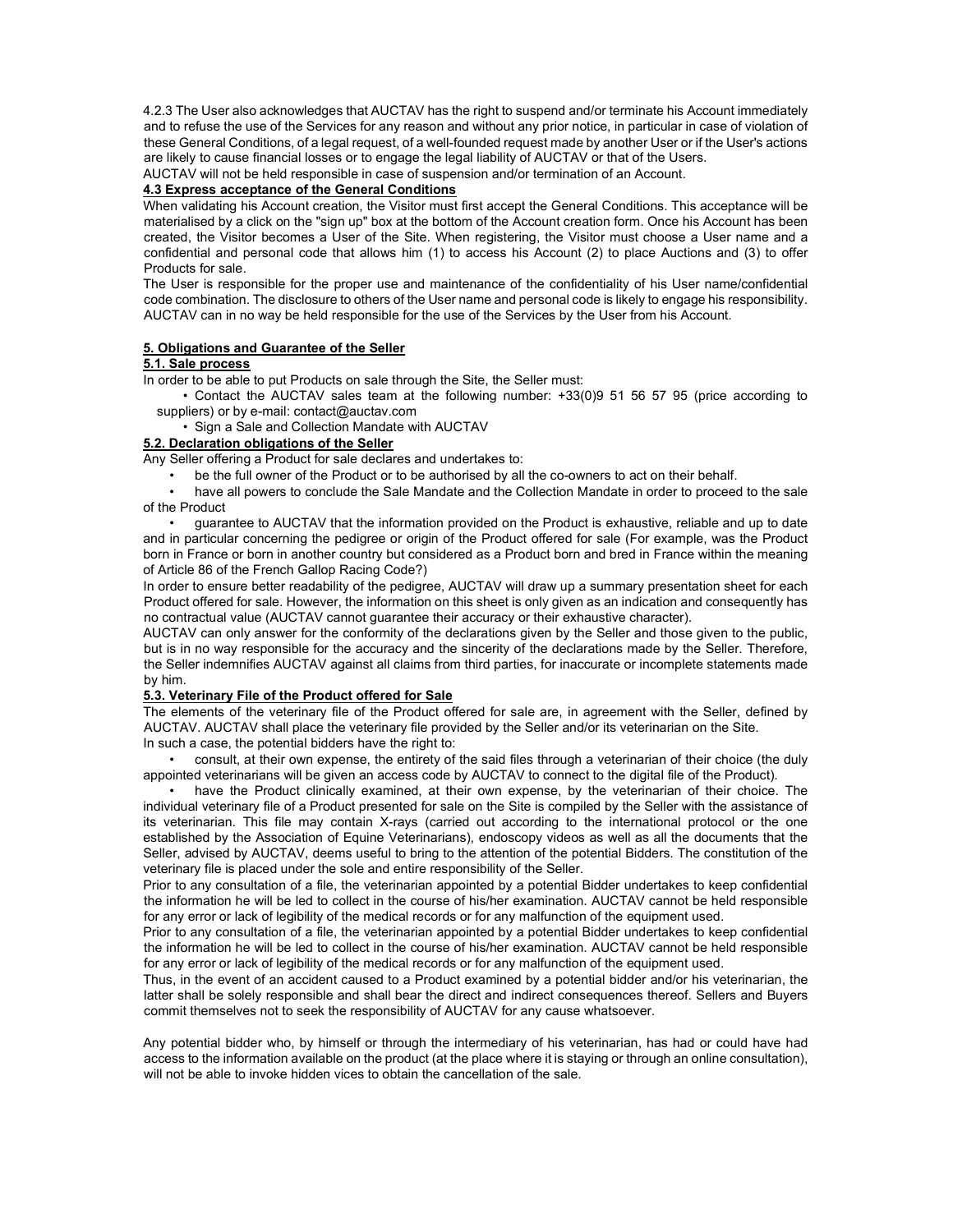4.2.3 The User also acknowledges that AUCTAV has the right to suspend and/or terminate his Account immediately and to refuse the use of the Services for any reason and without any prior notice, in particular in case of violation of these General Conditions, of a legal request, of a well-founded request made by another User or if the User's actions are likely to cause financial losses or to engage the legal liability of AUCTAV or that of the Users.

AUCTAV will not be held responsible in case of suspension and/or termination of an Account.

# 4.3 Express acceptance of the General Conditions

When validating his Account creation, the Visitor must first accept the General Conditions. This acceptance will be materialised by a click on the "sign up" box at the bottom of the Account creation form. Once his Account has been created, the Visitor becomes a User of the Site. When registering, the Visitor must choose a User name and a confidential and personal code that allows him (1) to access his Account (2) to place Auctions and (3) to offer Products for sale.

The User is responsible for the proper use and maintenance of the confidentiality of his User name/confidential code combination. The disclosure to others of the User name and personal code is likely to engage his responsibility. AUCTAV can in no way be held responsible for the use of the Services by the User from his Account.

#### 5. Obligations and Guarantee of the Seller

# 5.1. Sale process

In order to be able to put Products on sale through the Site, the Seller must:

• Contact the AUCTAV sales team at the following number: +33(0)9 51 56 57 95 (price according to suppliers) or by e-mail: contact@auctav.com

• Sign a Sale and Collection Mandate with AUCTAV

# 5.2. Declaration obligations of the Seller

Any Seller offering a Product for sale declares and undertakes to:

• be the full owner of the Product or to be authorised by all the co-owners to act on their behalf.

• have all powers to conclude the Sale Mandate and the Collection Mandate in order to proceed to the sale of the Product

• guarantee to AUCTAV that the information provided on the Product is exhaustive, reliable and up to date and in particular concerning the pedigree or origin of the Product offered for sale (For example, was the Product born in France or born in another country but considered as a Product born and bred in France within the meaning of Article 86 of the French Gallop Racing Code?)

In order to ensure better readability of the pedigree, AUCTAV will draw up a summary presentation sheet for each Product offered for sale. However, the information on this sheet is only given as an indication and consequently has no contractual value (AUCTAV cannot guarantee their accuracy or their exhaustive character).

AUCTAV can only answer for the conformity of the declarations given by the Seller and those given to the public, but is in no way responsible for the accuracy and the sincerity of the declarations made by the Seller. Therefore, the Seller indemnifies AUCTAV against all claims from third parties, for inaccurate or incomplete statements made by him.

### 5.3. Veterinary File of the Product offered for Sale

The elements of the veterinary file of the Product offered for sale are, in agreement with the Seller, defined by AUCTAV. AUCTAV shall place the veterinary file provided by the Seller and/or its veterinarian on the Site. In such a case, the potential bidders have the right to:

• consult, at their own expense, the entirety of the said files through a veterinarian of their choice (the duly appointed veterinarians will be given an access code by AUCTAV to connect to the digital file of the Product).

• have the Product clinically examined, at their own expense, by the veterinarian of their choice. The individual veterinary file of a Product presented for sale on the Site is compiled by the Seller with the assistance of its veterinarian. This file may contain X-rays (carried out according to the international protocol or the one established by the Association of Equine Veterinarians), endoscopy videos as well as all the documents that the Seller, advised by AUCTAV, deems useful to bring to the attention of the potential Bidders. The constitution of the veterinary file is placed under the sole and entire responsibility of the Seller.

Prior to any consultation of a file, the veterinarian appointed by a potential Bidder undertakes to keep confidential the information he will be led to collect in the course of his/her examination. AUCTAV cannot be held responsible for any error or lack of legibility of the medical records or for any malfunction of the equipment used.

Prior to any consultation of a file, the veterinarian appointed by a potential Bidder undertakes to keep confidential the information he will be led to collect in the course of his/her examination. AUCTAV cannot be held responsible for any error or lack of legibility of the medical records or for any malfunction of the equipment used.

Thus, in the event of an accident caused to a Product examined by a potential bidder and/or his veterinarian, the latter shall be solely responsible and shall bear the direct and indirect consequences thereof. Sellers and Buyers commit themselves not to seek the responsibility of AUCTAV for any cause whatsoever.

Any potential bidder who, by himself or through the intermediary of his veterinarian, has had or could have had access to the information available on the product (at the place where it is staying or through an online consultation), will not be able to invoke hidden vices to obtain the cancellation of the sale.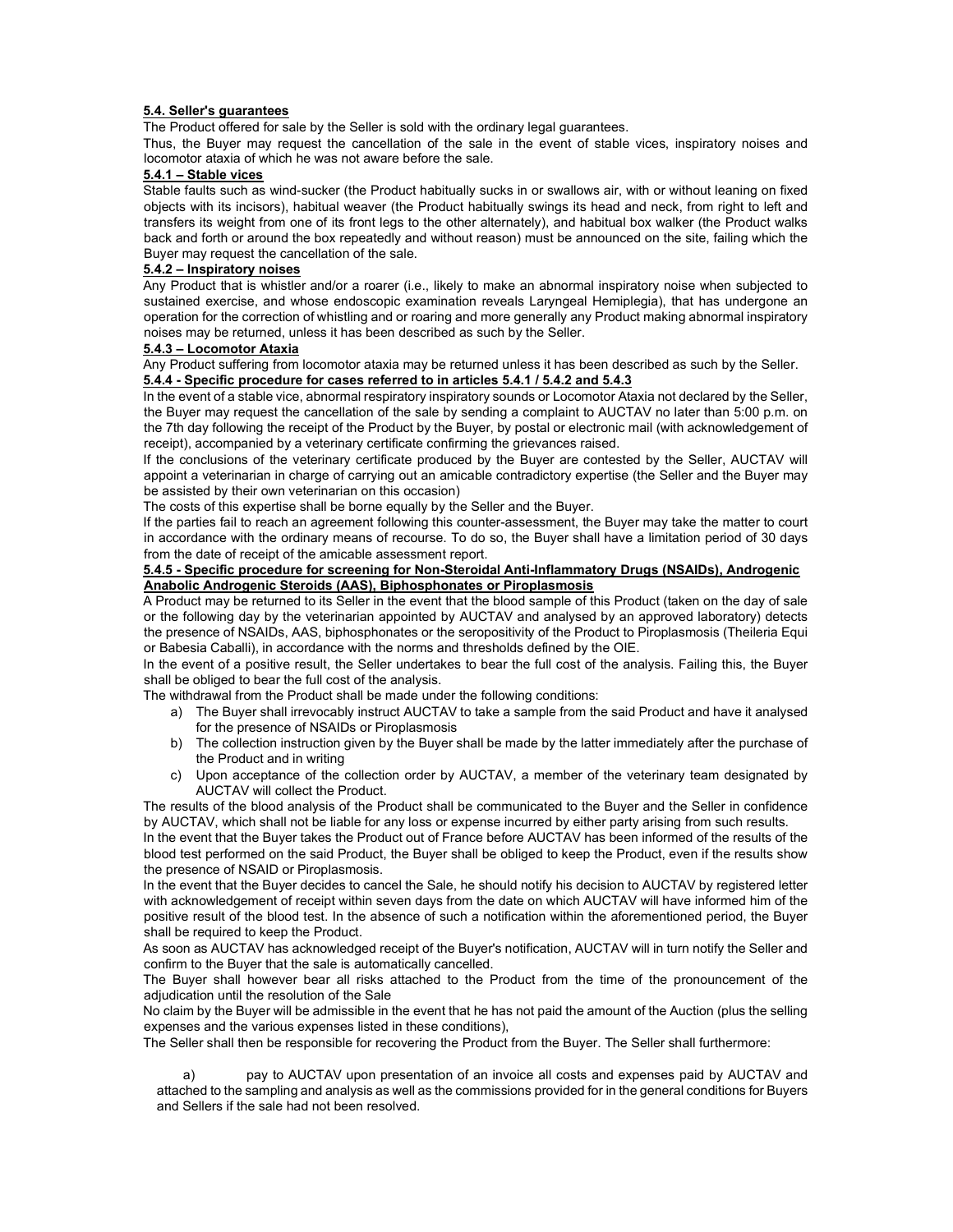### 5.4. Seller's guarantees

The Product offered for sale by the Seller is sold with the ordinary legal guarantees.

Thus, the Buyer may request the cancellation of the sale in the event of stable vices, inspiratory noises and locomotor ataxia of which he was not aware before the sale.

# 5.4.1 – Stable vices

Stable faults such as wind-sucker (the Product habitually sucks in or swallows air, with or without leaning on fixed objects with its incisors), habitual weaver (the Product habitually swings its head and neck, from right to left and transfers its weight from one of its front legs to the other alternately), and habitual box walker (the Product walks back and forth or around the box repeatedly and without reason) must be announced on the site, failing which the Buyer may request the cancellation of the sale.

#### 5.4.2 – Inspiratory noises

Any Product that is whistler and/or a roarer (i.e., likely to make an abnormal inspiratory noise when subjected to sustained exercise, and whose endoscopic examination reveals Laryngeal Hemiplegia), that has undergone an operation for the correction of whistling and or roaring and more generally any Product making abnormal inspiratory noises may be returned, unless it has been described as such by the Seller.

### 5.4.3 – Locomotor Ataxia

Any Product suffering from locomotor ataxia may be returned unless it has been described as such by the Seller. 5.4.4 - Specific procedure for cases referred to in articles 5.4.1 / 5.4.2 and 5.4.3

In the event of a stable vice, abnormal respiratory inspiratory sounds or Locomotor Ataxia not declared by the Seller, the Buyer may request the cancellation of the sale by sending a complaint to AUCTAV no later than 5:00 p.m. on the 7th day following the receipt of the Product by the Buyer, by postal or electronic mail (with acknowledgement of receipt), accompanied by a veterinary certificate confirming the grievances raised.

If the conclusions of the veterinary certificate produced by the Buyer are contested by the Seller, AUCTAV will appoint a veterinarian in charge of carrying out an amicable contradictory expertise (the Seller and the Buyer may be assisted by their own veterinarian on this occasion)

The costs of this expertise shall be borne equally by the Seller and the Buyer.

If the parties fail to reach an agreement following this counter-assessment, the Buyer may take the matter to court in accordance with the ordinary means of recourse. To do so, the Buyer shall have a limitation period of 30 days from the date of receipt of the amicable assessment report.

#### 5.4.5 - Specific procedure for screening for Non-Steroidal Anti-Inflammatory Drugs (NSAIDs), Androgenic Anabolic Androgenic Steroids (AAS), Biphosphonates or Piroplasmosis

A Product may be returned to its Seller in the event that the blood sample of this Product (taken on the day of sale or the following day by the veterinarian appointed by AUCTAV and analysed by an approved laboratory) detects the presence of NSAIDs, AAS, biphosphonates or the seropositivity of the Product to Piroplasmosis (Theileria Equi or Babesia Caballi), in accordance with the norms and thresholds defined by the OIE.

In the event of a positive result, the Seller undertakes to bear the full cost of the analysis. Failing this, the Buyer shall be obliged to bear the full cost of the analysis.

The withdrawal from the Product shall be made under the following conditions:

- a) The Buyer shall irrevocably instruct AUCTAV to take a sample from the said Product and have it analysed for the presence of NSAIDs or Piroplasmosis
- b) The collection instruction given by the Buyer shall be made by the latter immediately after the purchase of the Product and in writing
- c) Upon acceptance of the collection order by AUCTAV, a member of the veterinary team designated by AUCTAV will collect the Product.

The results of the blood analysis of the Product shall be communicated to the Buyer and the Seller in confidence by AUCTAV, which shall not be liable for any loss or expense incurred by either party arising from such results.

In the event that the Buyer takes the Product out of France before AUCTAV has been informed of the results of the blood test performed on the said Product, the Buyer shall be obliged to keep the Product, even if the results show the presence of NSAID or Piroplasmosis.

In the event that the Buyer decides to cancel the Sale, he should notify his decision to AUCTAV by registered letter with acknowledgement of receipt within seven days from the date on which AUCTAV will have informed him of the positive result of the blood test. In the absence of such a notification within the aforementioned period, the Buyer shall be required to keep the Product.

As soon as AUCTAV has acknowledged receipt of the Buyer's notification, AUCTAV will in turn notify the Seller and confirm to the Buyer that the sale is automatically cancelled.

The Buyer shall however bear all risks attached to the Product from the time of the pronouncement of the adjudication until the resolution of the Sale

No claim by the Buyer will be admissible in the event that he has not paid the amount of the Auction (plus the selling expenses and the various expenses listed in these conditions),

The Seller shall then be responsible for recovering the Product from the Buyer. The Seller shall furthermore:

pay to AUCTAV upon presentation of an invoice all costs and expenses paid by AUCTAV and attached to the sampling and analysis as well as the commissions provided for in the general conditions for Buyers and Sellers if the sale had not been resolved.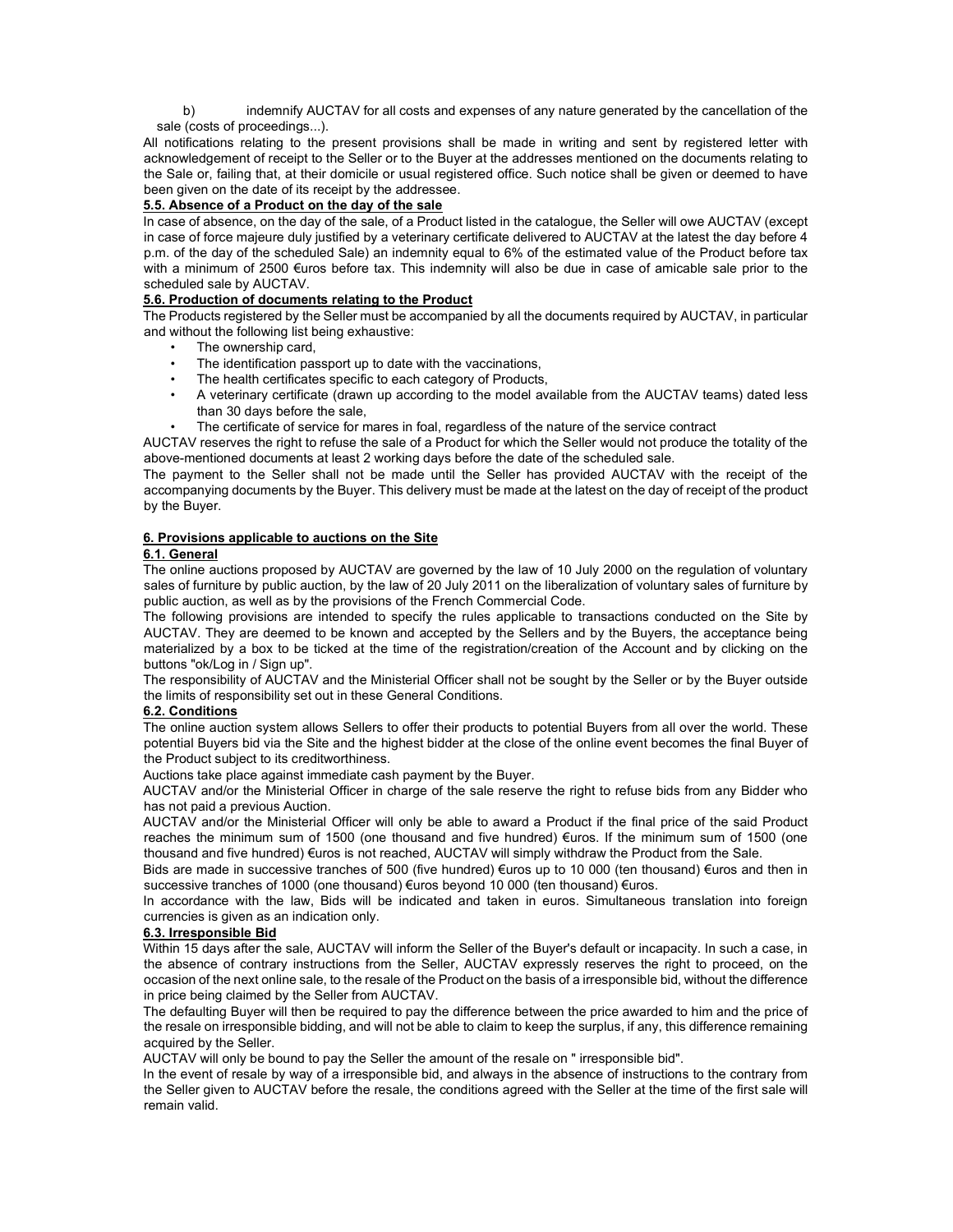b) indemnify AUCTAV for all costs and expenses of any nature generated by the cancellation of the sale (costs of proceedings...).

All notifications relating to the present provisions shall be made in writing and sent by registered letter with acknowledgement of receipt to the Seller or to the Buyer at the addresses mentioned on the documents relating to the Sale or, failing that, at their domicile or usual registered office. Such notice shall be given or deemed to have been given on the date of its receipt by the addressee.

# 5.5. Absence of a Product on the day of the sale

In case of absence, on the day of the sale, of a Product listed in the catalogue, the Seller will owe AUCTAV (except in case of force majeure duly justified by a veterinary certificate delivered to AUCTAV at the latest the day before 4 p.m. of the day of the scheduled Sale) an indemnity equal to 6% of the estimated value of the Product before tax with a minimum of 2500 €uros before tax. This indemnity will also be due in case of amicable sale prior to the scheduled sale by AUCTAV.

# 5.6. Production of documents relating to the Product

The Products registered by the Seller must be accompanied by all the documents required by AUCTAV, in particular and without the following list being exhaustive:

- The ownership card,
- The identification passport up to date with the vaccinations,
- The health certificates specific to each category of Products,
- A veterinary certificate (drawn up according to the model available from the AUCTAV teams) dated less than 30 days before the sale,
- The certificate of service for mares in foal, regardless of the nature of the service contract

AUCTAV reserves the right to refuse the sale of a Product for which the Seller would not produce the totality of the above-mentioned documents at least 2 working days before the date of the scheduled sale.

The payment to the Seller shall not be made until the Seller has provided AUCTAV with the receipt of the accompanying documents by the Buyer. This delivery must be made at the latest on the day of receipt of the product by the Buyer.

#### 6. Provisions applicable to auctions on the Site

#### 6.1. General

The online auctions proposed by AUCTAV are governed by the law of 10 July 2000 on the regulation of voluntary sales of furniture by public auction, by the law of 20 July 2011 on the liberalization of voluntary sales of furniture by public auction, as well as by the provisions of the French Commercial Code.

The following provisions are intended to specify the rules applicable to transactions conducted on the Site by AUCTAV. They are deemed to be known and accepted by the Sellers and by the Buyers, the acceptance being materialized by a box to be ticked at the time of the registration/creation of the Account and by clicking on the buttons "ok/Log in / Sign up".

The responsibility of AUCTAV and the Ministerial Officer shall not be sought by the Seller or by the Buyer outside the limits of responsibility set out in these General Conditions.

#### 6.2. Conditions

The online auction system allows Sellers to offer their products to potential Buyers from all over the world. These potential Buyers bid via the Site and the highest bidder at the close of the online event becomes the final Buyer of the Product subject to its creditworthiness.

Auctions take place against immediate cash payment by the Buyer.

AUCTAV and/or the Ministerial Officer in charge of the sale reserve the right to refuse bids from any Bidder who has not paid a previous Auction.

AUCTAV and/or the Ministerial Officer will only be able to award a Product if the final price of the said Product reaches the minimum sum of 1500 (one thousand and five hundred) €uros. If the minimum sum of 1500 (one thousand and five hundred) €uros is not reached, AUCTAV will simply withdraw the Product from the Sale.

Bids are made in successive tranches of 500 (five hundred) €uros up to 10 000 (ten thousand) €uros and then in successive tranches of 1000 (one thousand) €uros beyond 10 000 (ten thousand) €uros.

In accordance with the law, Bids will be indicated and taken in euros. Simultaneous translation into foreign currencies is given as an indication only.

#### 6.3. Irresponsible Bid

Within 15 days after the sale, AUCTAV will inform the Seller of the Buyer's default or incapacity. In such a case, in the absence of contrary instructions from the Seller, AUCTAV expressly reserves the right to proceed, on the occasion of the next online sale, to the resale of the Product on the basis of a irresponsible bid, without the difference in price being claimed by the Seller from AUCTAV.

The defaulting Buyer will then be required to pay the difference between the price awarded to him and the price of the resale on irresponsible bidding, and will not be able to claim to keep the surplus, if any, this difference remaining acquired by the Seller.

AUCTAV will only be bound to pay the Seller the amount of the resale on " irresponsible bid".

In the event of resale by way of a irresponsible bid, and always in the absence of instructions to the contrary from the Seller given to AUCTAV before the resale, the conditions agreed with the Seller at the time of the first sale will remain valid.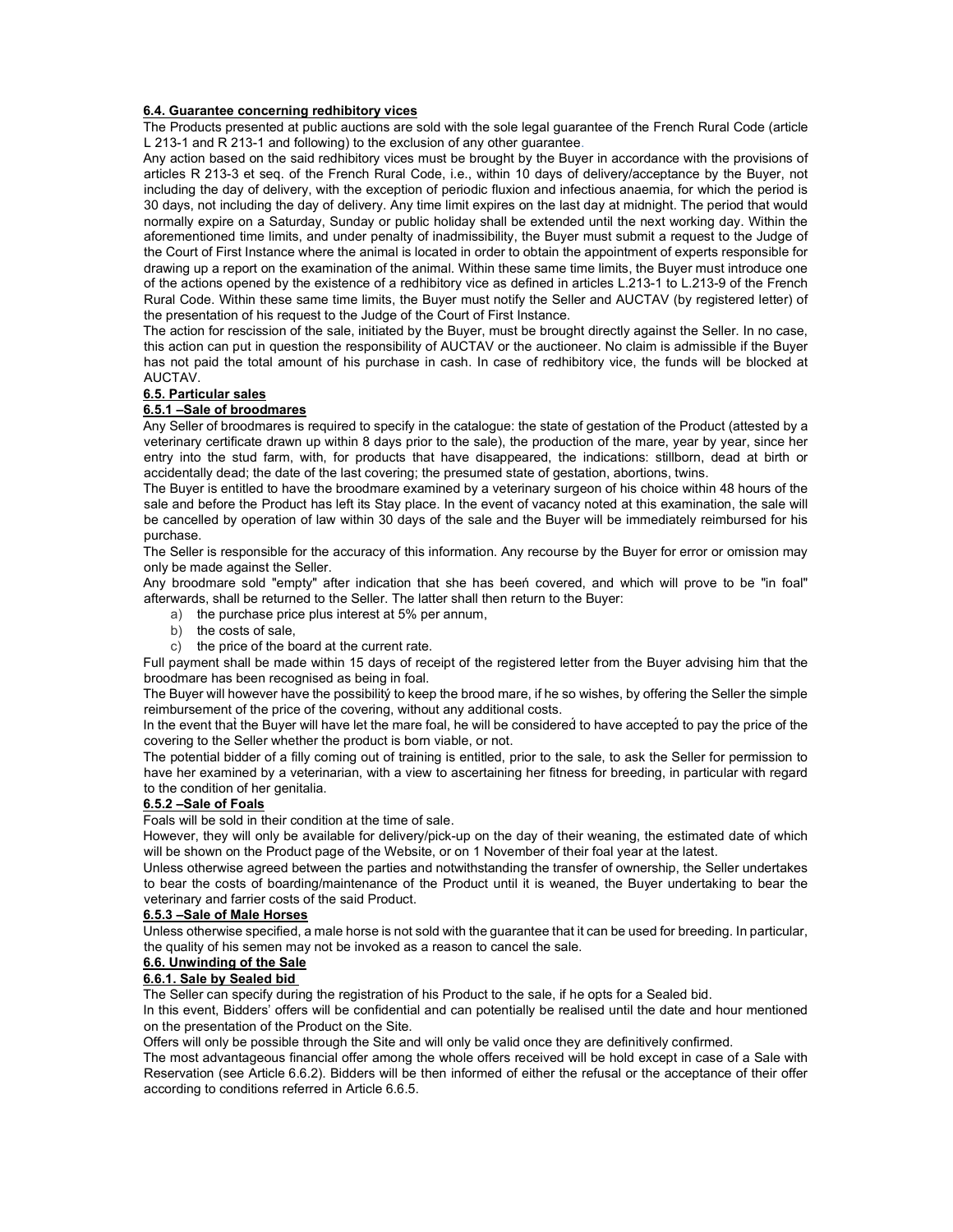# 6.4. Guarantee concerning redhibitory vices

The Products presented at public auctions are sold with the sole legal guarantee of the French Rural Code (article L 213-1 and R 213-1 and following) to the exclusion of any other guarantee.

Any action based on the said redhibitory vices must be brought by the Buyer in accordance with the provisions of articles R 213-3 et seq. of the French Rural Code, i.e., within 10 days of delivery/acceptance by the Buyer, not including the day of delivery, with the exception of periodic fluxion and infectious anaemia, for which the period is 30 days, not including the day of delivery. Any time limit expires on the last day at midnight. The period that would normally expire on a Saturday, Sunday or public holiday shall be extended until the next working day. Within the aforementioned time limits, and under penalty of inadmissibility, the Buyer must submit a request to the Judge of the Court of First Instance where the animal is located in order to obtain the appointment of experts responsible for drawing up a report on the examination of the animal. Within these same time limits, the Buyer must introduce one of the actions opened by the existence of a redhibitory vice as defined in articles L.213-1 to L.213-9 of the French Rural Code. Within these same time limits, the Buyer must notify the Seller and AUCTAV (by registered letter) of the presentation of his request to the Judge of the Court of First Instance.

The action for rescission of the sale, initiated by the Buyer, must be brought directly against the Seller. In no case, this action can put in question the responsibility of AUCTAV or the auctioneer. No claim is admissible if the Buyer has not paid the total amount of his purchase in cash. In case of redhibitory vice, the funds will be blocked at AUCTAV.

# 6.5. Particular sales

### 6.5.1 –Sale of broodmares

Any Seller of broodmares is required to specify in the catalogue: the state of gestation of the Product (attested by a veterinary certificate drawn up within 8 days prior to the sale), the production of the mare, year by year, since her entry into the stud farm, with, for products that have disappeared, the indications: stillborn, dead at birth or accidentally dead; the date of the last covering; the presumed state of gestation, abortions, twins.

The Buyer is entitled to have the broodmare examined by a veterinary surgeon of his choice within 48 hours of the sale and before the Product has left its Stay place. In the event of vacancy noted at this examination, the sale will be cancelled by operation of law within 30 days of the sale and the Buyer will be immediately reimbursed for his purchase.

The Seller is responsible for the accuracy of this information. Any recourse by the Buyer for error or omission may only be made against the Seller.

Any broodmare sold "empty" after indication that she has beeń covered, and which will prove to be "in foal" afterwards, shall be returned to the Seller. The latter shall then return to the Buyer:

- a) the purchase price plus interest at 5% per annum,
- b) the costs of sale,
- c) the price of the board at the current rate.

Full payment shall be made within 15 days of receipt of the registered letter from the Buyer advising him that the broodmare has been recognised as being in foal.

The Buyer will however have the possibilitý to keep the brood mare, if he so wishes, by offering the Seller the simple reimbursement of the price of the covering, without any additional costs.

In the event that̀ the Buyer will have let the mare foal, he will be considered́ to have accepted́ to pay the price of the covering to the Seller whether the product is born viable, or not.

The potential bidder of a filly coming out of training is entitled, prior to the sale, to ask the Seller for permission to have her examined by a veterinarian, with a view to ascertaining her fitness for breeding, in particular with regard to the condition of her genitalia.

# 6.5.2 –Sale of Foals

Foals will be sold in their condition at the time of sale.

However, they will only be available for delivery/pick-up on the day of their weaning, the estimated date of which will be shown on the Product page of the Website, or on 1 November of their foal year at the latest.

Unless otherwise agreed between the parties and notwithstanding the transfer of ownership, the Seller undertakes to bear the costs of boarding/maintenance of the Product until it is weaned, the Buyer undertaking to bear the veterinary and farrier costs of the said Product.

#### 6.5.3 –Sale of Male Horses

Unless otherwise specified, a male horse is not sold with the guarantee that it can be used for breeding. In particular, the quality of his semen may not be invoked as a reason to cancel the sale.

#### 6.6. Unwinding of the Sale

# 6.6.1. Sale by Sealed bid

The Seller can specify during the registration of his Product to the sale, if he opts for a Sealed bid.

In this event, Bidders' offers will be confidential and can potentially be realised until the date and hour mentioned on the presentation of the Product on the Site.

Offers will only be possible through the Site and will only be valid once they are definitively confirmed.

The most advantageous financial offer among the whole offers received will be hold except in case of a Sale with Reservation (see Article 6.6.2). Bidders will be then informed of either the refusal or the acceptance of their offer according to conditions referred in Article 6.6.5.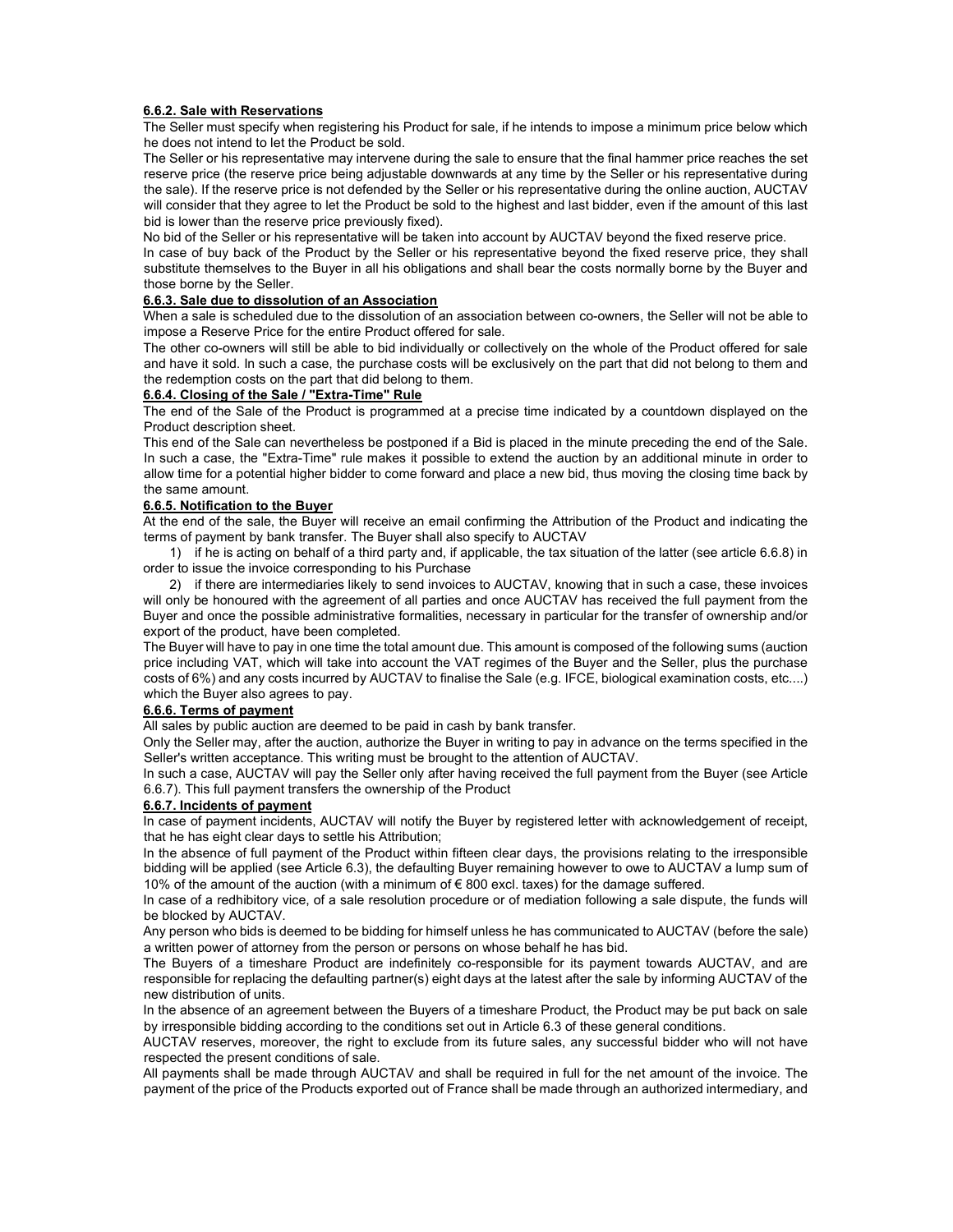# 6.6.2. Sale with Reservations

The Seller must specify when registering his Product for sale, if he intends to impose a minimum price below which he does not intend to let the Product be sold.

The Seller or his representative may intervene during the sale to ensure that the final hammer price reaches the set reserve price (the reserve price being adjustable downwards at any time by the Seller or his representative during the sale). If the reserve price is not defended by the Seller or his representative during the online auction, AUCTAV will consider that they agree to let the Product be sold to the highest and last bidder, even if the amount of this last bid is lower than the reserve price previously fixed).

No bid of the Seller or his representative will be taken into account by AUCTAV beyond the fixed reserve price.

In case of buy back of the Product by the Seller or his representative beyond the fixed reserve price, they shall substitute themselves to the Buyer in all his obligations and shall bear the costs normally borne by the Buyer and those borne by the Seller.

## 6.6.3. Sale due to dissolution of an Association

When a sale is scheduled due to the dissolution of an association between co-owners, the Seller will not be able to impose a Reserve Price for the entire Product offered for sale.

The other co-owners will still be able to bid individually or collectively on the whole of the Product offered for sale and have it sold. In such a case, the purchase costs will be exclusively on the part that did not belong to them and the redemption costs on the part that did belong to them.

# 6.6.4. Closing of the Sale / "Extra-Time" Rule

The end of the Sale of the Product is programmed at a precise time indicated by a countdown displayed on the Product description sheet.

This end of the Sale can nevertheless be postponed if a Bid is placed in the minute preceding the end of the Sale. In such a case, the "Extra-Time" rule makes it possible to extend the auction by an additional minute in order to allow time for a potential higher bidder to come forward and place a new bid, thus moving the closing time back by the same amount.

# 6.6.5. Notification to the Buyer

At the end of the sale, the Buyer will receive an email confirming the Attribution of the Product and indicating the terms of payment by bank transfer. The Buyer shall also specify to AUCTAV

1) if he is acting on behalf of a third party and, if applicable, the tax situation of the latter (see article 6.6.8) in order to issue the invoice corresponding to his Purchase

2) if there are intermediaries likely to send invoices to AUCTAV, knowing that in such a case, these invoices will only be honoured with the agreement of all parties and once AUCTAV has received the full payment from the Buyer and once the possible administrative formalities, necessary in particular for the transfer of ownership and/or export of the product, have been completed.

The Buyer will have to pay in one time the total amount due. This amount is composed of the following sums (auction price including VAT, which will take into account the VAT regimes of the Buyer and the Seller, plus the purchase costs of 6%) and any costs incurred by AUCTAV to finalise the Sale (e.g. IFCE, biological examination costs, etc....) which the Buyer also agrees to pay.

# 6.6.6. Terms of payment

All sales by public auction are deemed to be paid in cash by bank transfer.

Only the Seller may, after the auction, authorize the Buyer in writing to pay in advance on the terms specified in the Seller's written acceptance. This writing must be brought to the attention of AUCTAV.

In such a case, AUCTAV will pay the Seller only after having received the full payment from the Buyer (see Article 6.6.7). This full payment transfers the ownership of the Product

#### 6.6.7. Incidents of payment

In case of payment incidents, AUCTAV will notify the Buyer by registered letter with acknowledgement of receipt, that he has eight clear days to settle his Attribution;

In the absence of full payment of the Product within fifteen clear days, the provisions relating to the irresponsible bidding will be applied (see Article 6.3), the defaulting Buyer remaining however to owe to AUCTAV a lump sum of 10% of the amount of the auction (with a minimum of € 800 excl. taxes) for the damage suffered.

In case of a redhibitory vice, of a sale resolution procedure or of mediation following a sale dispute, the funds will be blocked by AUCTAV.

Any person who bids is deemed to be bidding for himself unless he has communicated to AUCTAV (before the sale) a written power of attorney from the person or persons on whose behalf he has bid.

The Buyers of a timeshare Product are indefinitely co-responsible for its payment towards AUCTAV, and are responsible for replacing the defaulting partner(s) eight days at the latest after the sale by informing AUCTAV of the new distribution of units.

In the absence of an agreement between the Buyers of a timeshare Product, the Product may be put back on sale by irresponsible bidding according to the conditions set out in Article 6.3 of these general conditions.

AUCTAV reserves, moreover, the right to exclude from its future sales, any successful bidder who will not have respected the present conditions of sale.

All payments shall be made through AUCTAV and shall be required in full for the net amount of the invoice. The payment of the price of the Products exported out of France shall be made through an authorized intermediary, and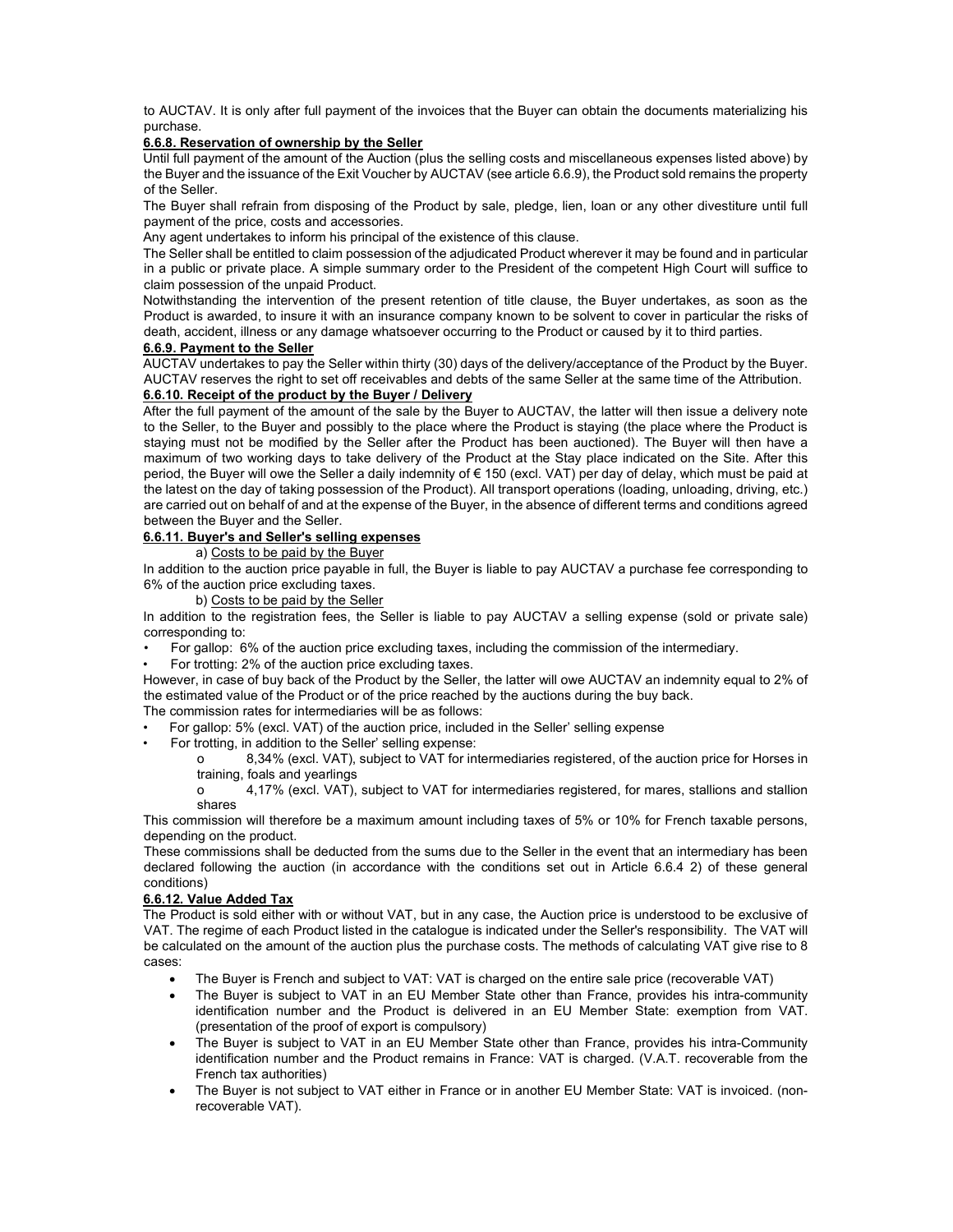to AUCTAV. It is only after full payment of the invoices that the Buyer can obtain the documents materializing his purchase.

#### 6.6.8. Reservation of ownership by the Seller

Until full payment of the amount of the Auction (plus the selling costs and miscellaneous expenses listed above) by the Buyer and the issuance of the Exit Voucher by AUCTAV (see article 6.6.9), the Product sold remains the property of the Seller.

The Buyer shall refrain from disposing of the Product by sale, pledge, lien, loan or any other divestiture until full payment of the price, costs and accessories.

Any agent undertakes to inform his principal of the existence of this clause.

The Seller shall be entitled to claim possession of the adjudicated Product wherever it may be found and in particular in a public or private place. A simple summary order to the President of the competent High Court will suffice to claim possession of the unpaid Product.

Notwithstanding the intervention of the present retention of title clause, the Buyer undertakes, as soon as the Product is awarded, to insure it with an insurance company known to be solvent to cover in particular the risks of death, accident, illness or any damage whatsoever occurring to the Product or caused by it to third parties.

# 6.6.9. Payment to the Seller

AUCTAV undertakes to pay the Seller within thirty (30) days of the delivery/acceptance of the Product by the Buyer. AUCTAV reserves the right to set off receivables and debts of the same Seller at the same time of the Attribution.

# 6.6.10. Receipt of the product by the Buyer / Delivery

After the full payment of the amount of the sale by the Buyer to AUCTAV, the latter will then issue a delivery note to the Seller, to the Buyer and possibly to the place where the Product is staying (the place where the Product is staying must not be modified by the Seller after the Product has been auctioned). The Buyer will then have a maximum of two working days to take delivery of the Product at the Stay place indicated on the Site. After this period, the Buyer will owe the Seller a daily indemnity of € 150 (excl. VAT) per day of delay, which must be paid at the latest on the day of taking possession of the Product). All transport operations (loading, unloading, driving, etc.) are carried out on behalf of and at the expense of the Buyer, in the absence of different terms and conditions agreed between the Buyer and the Seller.

# 6.6.11. Buyer's and Seller's selling expenses

a) Costs to be paid by the Buyer

In addition to the auction price payable in full, the Buyer is liable to pay AUCTAV a purchase fee corresponding to 6% of the auction price excluding taxes.

b) Costs to be paid by the Seller

In addition to the registration fees, the Seller is liable to pay AUCTAV a selling expense (sold or private sale) corresponding to:

- For gallop: 6% of the auction price excluding taxes, including the commission of the intermediary.
- For trotting: 2% of the auction price excluding taxes.

However, in case of buy back of the Product by the Seller, the latter will owe AUCTAV an indemnity equal to 2% of the estimated value of the Product or of the price reached by the auctions during the buy back.

- The commission rates for intermediaries will be as follows:
- For gallop: 5% (excl. VAT) of the auction price, included in the Seller' selling expense
	- For trotting, in addition to the Seller' selling expense:

o 8,34% (excl. VAT), subject to VAT for intermediaries registered, of the auction price for Horses in training, foals and yearlings

o 4,17% (excl. VAT), subject to VAT for intermediaries registered, for mares, stallions and stallion shares

This commission will therefore be a maximum amount including taxes of 5% or 10% for French taxable persons, depending on the product.

These commissions shall be deducted from the sums due to the Seller in the event that an intermediary has been declared following the auction (in accordance with the conditions set out in Article 6.6.4 2) of these general conditions)

# 6.6.12. Value Added Tax

The Product is sold either with or without VAT, but in any case, the Auction price is understood to be exclusive of VAT. The regime of each Product listed in the catalogue is indicated under the Seller's responsibility. The VAT will be calculated on the amount of the auction plus the purchase costs. The methods of calculating VAT give rise to 8 cases:

- The Buyer is French and subject to VAT: VAT is charged on the entire sale price (recoverable VAT)
- The Buyer is subject to VAT in an EU Member State other than France, provides his intra-community identification number and the Product is delivered in an EU Member State: exemption from VAT. (presentation of the proof of export is compulsory)
- The Buyer is subject to VAT in an EU Member State other than France, provides his intra-Community identification number and the Product remains in France: VAT is charged. (V.A.T. recoverable from the French tax authorities)
- The Buyer is not subject to VAT either in France or in another EU Member State: VAT is invoiced. (nonrecoverable VAT).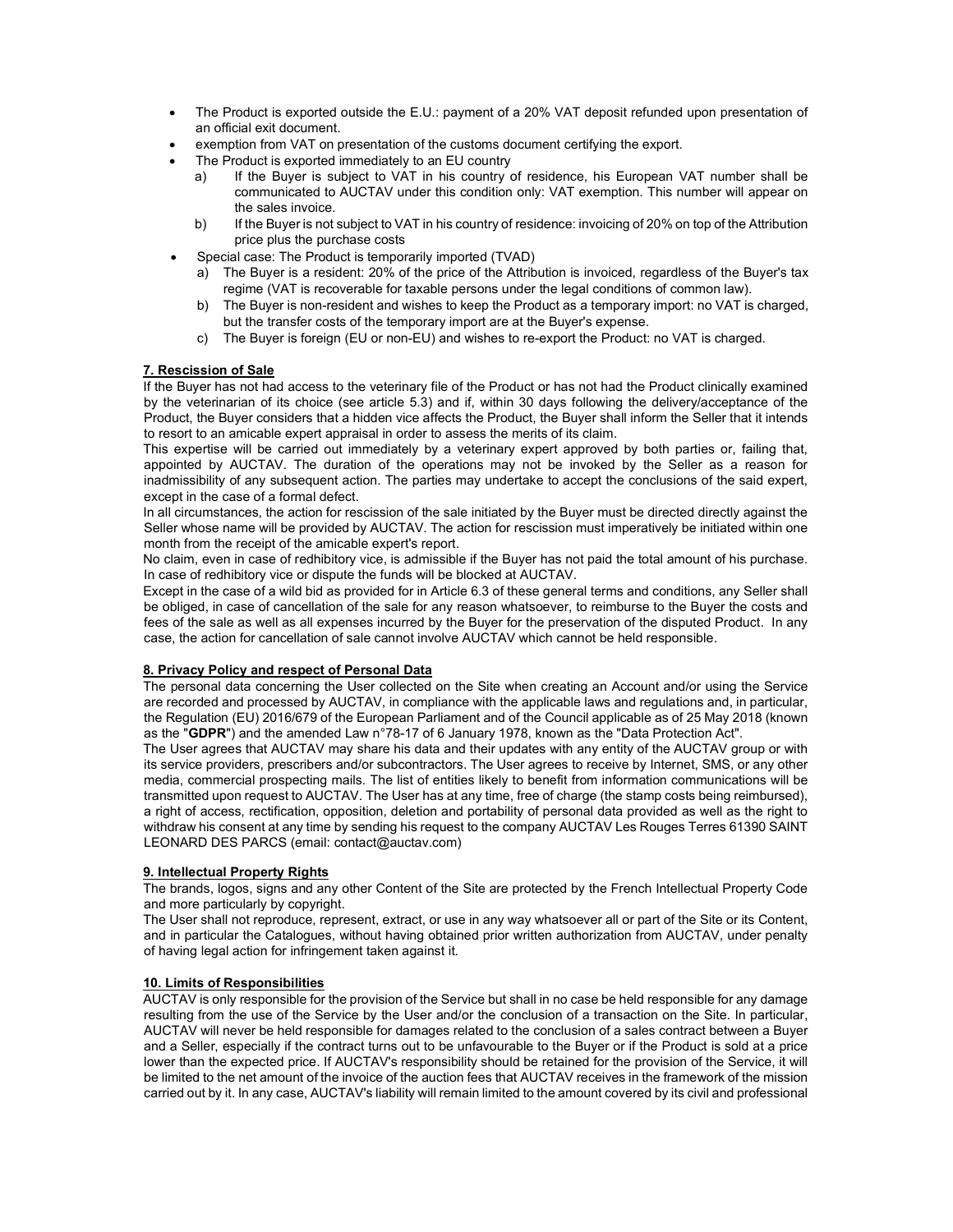- The Product is exported outside the E.U.: payment of a 20% VAT deposit refunded upon presentation of an official exit document.
- exemption from VAT on presentation of the customs document certifying the export.
- The Product is exported immediately to an EU country
	- a) If the Buyer is subject to VAT in his country of residence, his European VAT number shall be communicated to AUCTAV under this condition only: VAT exemption. This number will appear on the sales invoice.
	- b) If the Buyer is not subject to VAT in his country of residence: invoicing of 20% on top of the Attribution price plus the purchase costs
- Special case: The Product is temporarily imported (TVAD)
	- a) The Buyer is a resident: 20% of the price of the Attribution is invoiced, regardless of the Buyer's tax regime (VAT is recoverable for taxable persons under the legal conditions of common law).
	- b) The Buyer is non-resident and wishes to keep the Product as a temporary import: no VAT is charged, but the transfer costs of the temporary import are at the Buyer's expense.
	- c) The Buyer is foreign (EU or non-EU) and wishes to re-export the Product: no VAT is charged.

# 7. Rescission of Sale

If the Buyer has not had access to the veterinary file of the Product or has not had the Product clinically examined by the veterinarian of its choice (see article 5.3) and if, within 30 days following the delivery/acceptance of the Product, the Buyer considers that a hidden vice affects the Product, the Buyer shall inform the Seller that it intends to resort to an amicable expert appraisal in order to assess the merits of its claim.

This expertise will be carried out immediately by a veterinary expert approved by both parties or, failing that, appointed by AUCTAV. The duration of the operations may not be invoked by the Seller as a reason for inadmissibility of any subsequent action. The parties may undertake to accept the conclusions of the said expert, except in the case of a formal defect.

In all circumstances, the action for rescission of the sale initiated by the Buyer must be directed directly against the Seller whose name will be provided by AUCTAV. The action for rescission must imperatively be initiated within one month from the receipt of the amicable expert's report.

No claim, even in case of redhibitory vice, is admissible if the Buyer has not paid the total amount of his purchase. In case of redhibitory vice or dispute the funds will be blocked at AUCTAV.

Except in the case of a wild bid as provided for in Article 6.3 of these general terms and conditions, any Seller shall be obliged, in case of cancellation of the sale for any reason whatsoever, to reimburse to the Buyer the costs and fees of the sale as well as all expenses incurred by the Buyer for the preservation of the disputed Product. In any case, the action for cancellation of sale cannot involve AUCTAV which cannot be held responsible.

#### 8. Privacy Policy and respect of Personal Data

The personal data concerning the User collected on the Site when creating an Account and/or using the Service are recorded and processed by AUCTAV, in compliance with the applicable laws and regulations and, in particular, the Regulation (EU) 2016/679 of the European Parliament and of the Council applicable as of 25 May 2018 (known as the "GDPR") and the amended Law n°78-17 of 6 January 1978, known as the "Data Protection Act".

The User agrees that AUCTAV may share his data and their updates with any entity of the AUCTAV group or with its service providers, prescribers and/or subcontractors. The User agrees to receive by Internet, SMS, or any other media, commercial prospecting mails. The list of entities likely to benefit from information communications will be transmitted upon request to AUCTAV. The User has at any time, free of charge (the stamp costs being reimbursed), a right of access, rectification, opposition, deletion and portability of personal data provided as well as the right to withdraw his consent at any time by sending his request to the company AUCTAV Les Rouges Terres 61390 SAINT LEONARD DES PARCS (email: contact@auctav.com)

#### 9. Intellectual Property Rights

The brands, logos, signs and any other Content of the Site are protected by the French Intellectual Property Code and more particularly by copyright.

The User shall not reproduce, represent, extract, or use in any way whatsoever all or part of the Site or its Content, and in particular the Catalogues, without having obtained prior written authorization from AUCTAV, under penalty of having legal action for infringement taken against it.

### 10. Limits of Responsibilities

AUCTAV is only responsible for the provision of the Service but shall in no case be held responsible for any damage resulting from the use of the Service by the User and/or the conclusion of a transaction on the Site. In particular, AUCTAV will never be held responsible for damages related to the conclusion of a sales contract between a Buyer and a Seller, especially if the contract turns out to be unfavourable to the Buyer or if the Product is sold at a price lower than the expected price. If AUCTAV's responsibility should be retained for the provision of the Service, it will be limited to the net amount of the invoice of the auction fees that AUCTAV receives in the framework of the mission carried out by it. In any case, AUCTAV's liability will remain limited to the amount covered by its civil and professional